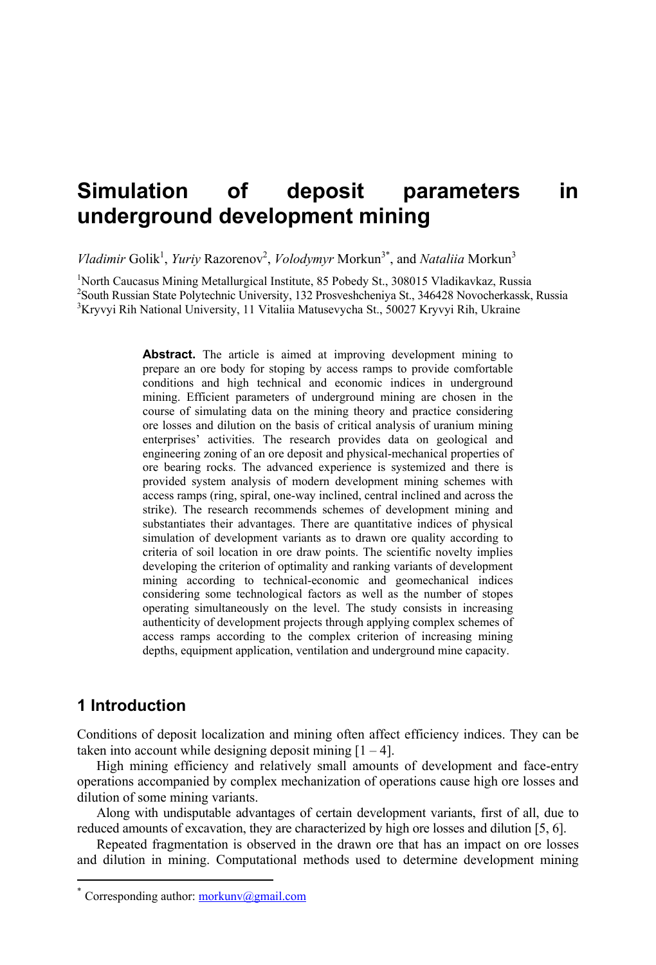# **Simulation of deposit parameters in underground development mining**

*Vladimir* Golik<sup>1</sup>, *Yuriy* Razorenov<sup>2</sup>, *Volodymyr* Morkun<sup>3\*</sup>, and *Nataliia* Morkun<sup>3</sup>

<sup>1</sup>North Caucasus Mining Metallurgical Institute, 85 Pobedy St., 308015 Vladikavkaz, Russia<br><sup>2</sup>South Bussian State Polytechnic University, 122 Progreshebonius St. 246428 Novemberkasek <sup>2</sup>South Russian State Polytechnic University, 132 Prosveshcheniya St., 346428 Novocherkassk, Russia  $K$ ryvyi Rih National University, 11 Vitaliia Matusevycha St., 50027 Kryvyi Rih, Ukraine

> **Abstract.** The article is aimed at improving development mining to prepare an ore body for stoping by access ramps to provide comfortable conditions and high technical and economic indices in underground mining. Efficient parameters of underground mining are chosen in the course of simulating data on the mining theory and practice considering ore losses and dilution on the basis of critical analysis of uranium mining enterprises' activities. The research provides data on geological and engineering zoning of an ore deposit and physical-mechanical properties of ore bearing rocks. The advanced experience is systemized and there is provided system analysis of modern development mining schemes with access ramps (ring, spiral, one-way inclined, central inclined and across the strike). The research recommends schemes of development mining and substantiates their advantages. There are quantitative indices of physical simulation of development variants as to drawn ore quality according to criteria of soil location in ore draw points. The scientific novelty implies developing the criterion of optimality and ranking variants of development mining according to technical-economic and geomechanical indices considering some technological factors as well as the number of stopes operating simultaneously on the level. The study consists in increasing authenticity of development projects through applying complex schemes of access ramps according to the complex criterion of increasing mining depths, equipment application, ventilation and underground mine capacity.

# **1 Introduction**

 $\overline{a}$ 

Conditions of deposit localization and mining often affect efficiency indices. They can be taken into account while designing deposit mining  $[1 - 4]$ .

High mining efficiency and relatively small amounts of development and face-entry operations accompanied by complex mechanization of operations cause high ore losses and dilution of some mining variants.

Along with undisputable advantages of certain development variants, first of all, due to reduced amounts of excavation, they are characterized by high ore losses and dilution [5, 6].

Repeated fragmentation is observed in the drawn ore that has an impact on ore losses and dilution in mining. Computational methods used to determine development mining

<sup>\*</sup> Corresponding author: morkunv@gmail.com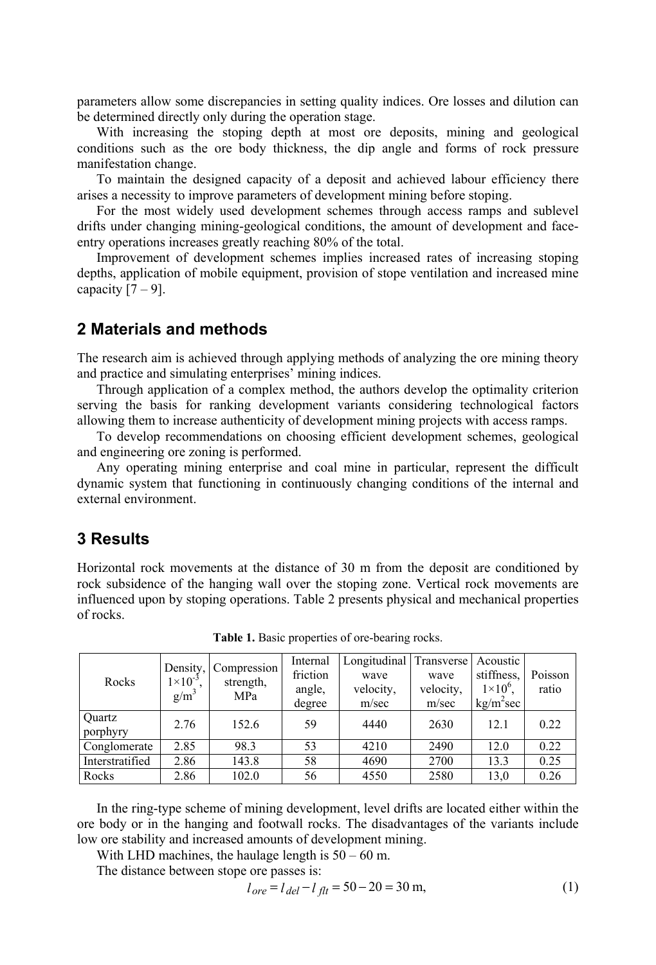parameters allow some discrepancies in setting quality indices. Ore losses and dilution can be determined directly only during the operation stage.

With increasing the stoping depth at most ore deposits, mining and geological conditions such as the ore body thickness, the dip angle and forms of rock pressure manifestation change.

To maintain the designed capacity of a deposit and achieved labour efficiency there arises a necessity to improve parameters of development mining before stoping.

For the most widely used development schemes through access ramps and sublevel drifts under changing mining-geological conditions, the amount of development and faceentry operations increases greatly reaching 80% of the total.

Improvement of development schemes implies increased rates of increasing stoping depths, application of mobile equipment, provision of stope ventilation and increased mine capacity  $[7 - 9]$ .

#### **2 Materials and methods**

The research aim is achieved through applying methods of analyzing the ore mining theory and practice and simulating enterprises' mining indices.

Through application of a complex method, the authors develop the optimality criterion serving the basis for ranking development variants considering technological factors allowing them to increase authenticity of development mining projects with access ramps.

To develop recommendations on choosing efficient development schemes, geological and engineering ore zoning is performed.

Any operating mining enterprise and coal mine in particular, represent the difficult dynamic system that functioning in continuously changing conditions of the internal and external environment.

# **3 Results**

Horizontal rock movements at the distance of 30 m from the deposit are conditioned by rock subsidence of the hanging wall over the stoping zone. Vertical rock movements are influenced upon by stoping operations. Table 2 presents physical and mechanical properties of rocks.

| Rocks              | $1 \times 10^{-3}$<br>$g/m^3$ | Density, Compression<br>strength,<br>MPa | Internal<br>friction<br>angle,<br>degree | Longitudinal Transverse<br>wave<br>velocity,<br>m/sec | wave<br>velocity,<br>m/sec | Acoustic<br>stiffness,<br>$1\times10^{6}$ .<br>$kg/m^2$ sec | Poisson<br>ratio |
|--------------------|-------------------------------|------------------------------------------|------------------------------------------|-------------------------------------------------------|----------------------------|-------------------------------------------------------------|------------------|
| Ouartz<br>porphyry | 2.76                          | 152.6                                    | 59                                       | 4440                                                  | 2630                       | 12.1                                                        | 0.22             |
| Conglomerate       | 2.85                          | 98.3                                     | 53                                       | 4210                                                  | 2490                       | 12.0                                                        | 0.22             |
| Interstratified    | 2.86                          | 143.8                                    | 58                                       | 4690                                                  | 2700                       | 13.3                                                        | 0.25             |
| Rocks              | 2.86                          | 102.0                                    | 56                                       | 4550                                                  | 2580                       | 13,0                                                        | 0.26             |

**Table 1.** Basic properties of ore-bearing rocks.

In the ring-type scheme of mining development, level drifts are located either within the ore body or in the hanging and footwall rocks. The disadvantages of the variants include low ore stability and increased amounts of development mining.

With LHD machines, the haulage length is  $50 - 60$  m.

The distance between stope ore passes is:

$$
l_{ore} = l_{del} - l_{flt} = 50 - 20 = 30 \text{ m},\tag{1}
$$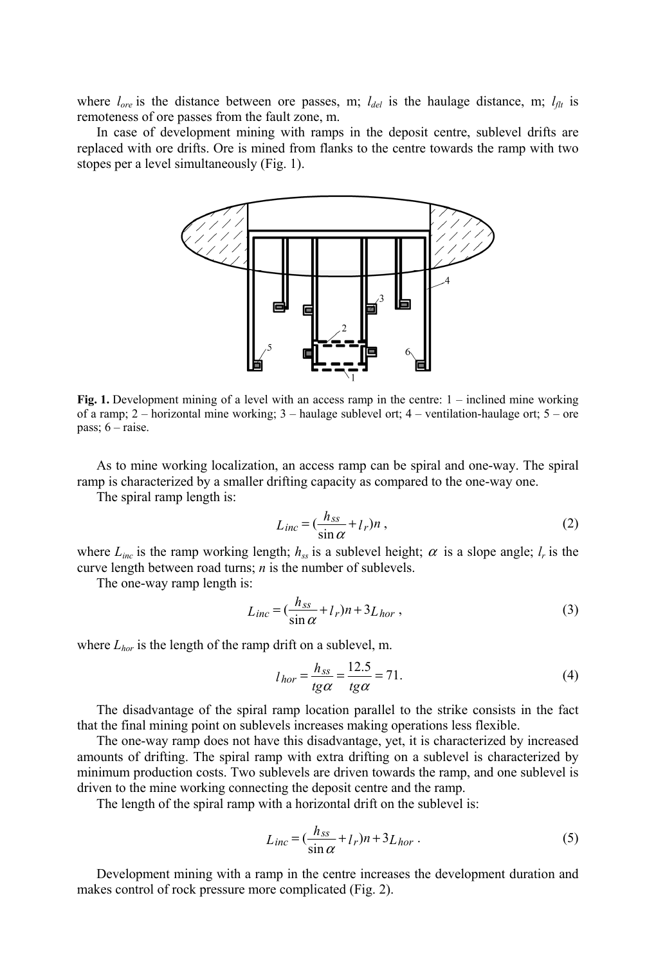where  $l_{\alpha r}$  is the distance between ore passes, m;  $l_{del}$  is the haulage distance, m;  $l_{dt}$  is remoteness of ore passes from the fault zone, m.

In case of development mining with ramps in the deposit centre, sublevel drifts are replaced with ore drifts. Ore is mined from flanks to the centre towards the ramp with two stopes per a level simultaneously (Fig. 1).



**Fig. 1.** Development mining of a level with an access ramp in the centre:  $1$  – inclined mine working of a ramp; 2 – horizontal mine working; 3 – haulage sublevel ort; 4 – ventilation-haulage ort; 5 – ore pass; 6 – raise.

As to mine working localization, an access ramp can be spiral and one-way. The spiral ramp is characterized by a smaller drifting capacity as compared to the one-way one.

The spiral ramp length is:

$$
L_{inc} = \left(\frac{h_{ss}}{\sin\alpha} + l_r\right)n\,,\tag{2}
$$

where  $L_{inc}$  is the ramp working length;  $h_{ss}$  is a sublevel height;  $\alpha$  is a slope angle;  $l_r$  is the curve length between road turns; *n* is the number of sublevels.

The one-way ramp length is:

$$
L_{inc} = \left(\frac{h_{ss}}{\sin\alpha} + l_r\right)n + 3L_{hor} \,,\tag{3}
$$

where  $L_{hor}$  is the length of the ramp drift on a sublevel, m.

$$
l_{hor} = \frac{h_{ss}}{tg\alpha} = \frac{12.5}{tg\alpha} = 71.
$$
 (4)

The disadvantage of the spiral ramp location parallel to the strike consists in the fact that the final mining point on sublevels increases making operations less flexible.

The one-way ramp does not have this disadvantage, yet, it is characterized by increased amounts of drifting. The spiral ramp with extra drifting on a sublevel is characterized by minimum production costs. Two sublevels are driven towards the ramp, and one sublevel is driven to the mine working connecting the deposit centre and the ramp.

The length of the spiral ramp with a horizontal drift on the sublevel is:

$$
L_{inc} = \left(\frac{h_{ss}}{\sin \alpha} + l_r\right)n + 3L_{hor} \tag{5}
$$

Development mining with a ramp in the centre increases the development duration and makes control of rock pressure more complicated (Fig. 2).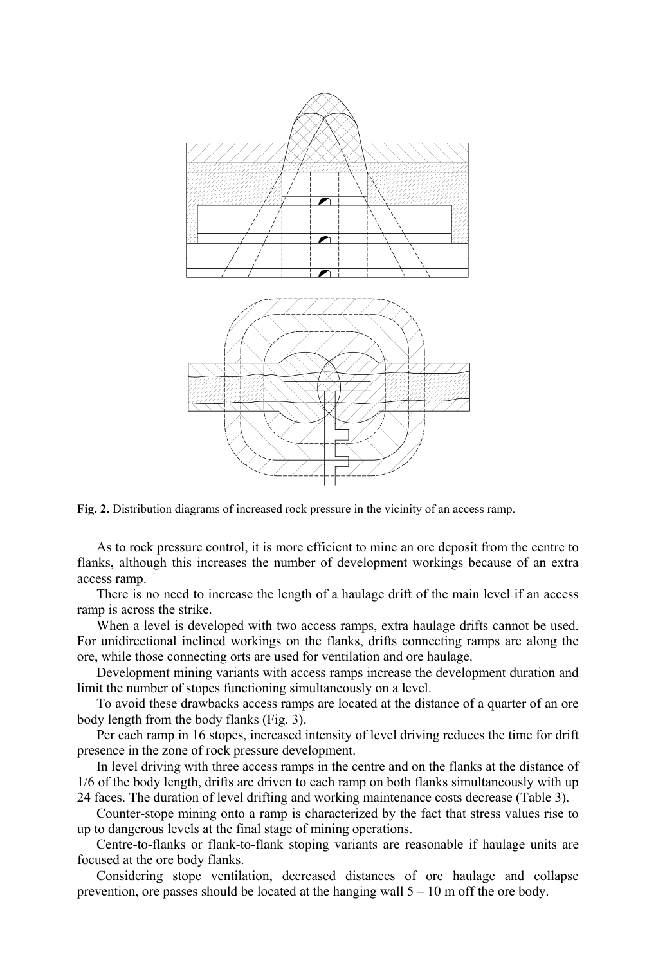

**Fig. 2.** Distribution diagrams of increased rock pressure in the vicinity of an access ramp.

As to rock pressure control, it is more efficient to mine an ore deposit from the centre to flanks, although this increases the number of development workings because of an extra access ramp.

There is no need to increase the length of a haulage drift of the main level if an access ramp is across the strike.

When a level is developed with two access ramps, extra haulage drifts cannot be used. For unidirectional inclined workings on the flanks, drifts connecting ramps are along the ore, while those connecting orts are used for ventilation and ore haulage.

Development mining variants with access ramps increase the development duration and limit the number of stopes functioning simultaneously on a level.

To avoid these drawbacks access ramps are located at the distance of a quarter of an ore body length from the body flanks (Fig. 3).

Per each ramp in 16 stopes, increased intensity of level driving reduces the time for drift presence in the zone of rock pressure development.

In level driving with three access ramps in the centre and on the flanks at the distance of 1/6 of the body length, drifts are driven to each ramp on both flanks simultaneously with up 24 faces. The duration of level drifting and working maintenance costs decrease (Table 3).

Counter-stope mining onto a ramp is characterized by the fact that stress values rise to up to dangerous levels at the final stage of mining operations.

Centre-to-flanks or flank-to-flank stoping variants are reasonable if haulage units are focused at the ore body flanks.

Considering stope ventilation, decreased distances of ore haulage and collapse prevention, ore passes should be located at the hanging wall  $5 - 10$  m off the ore body.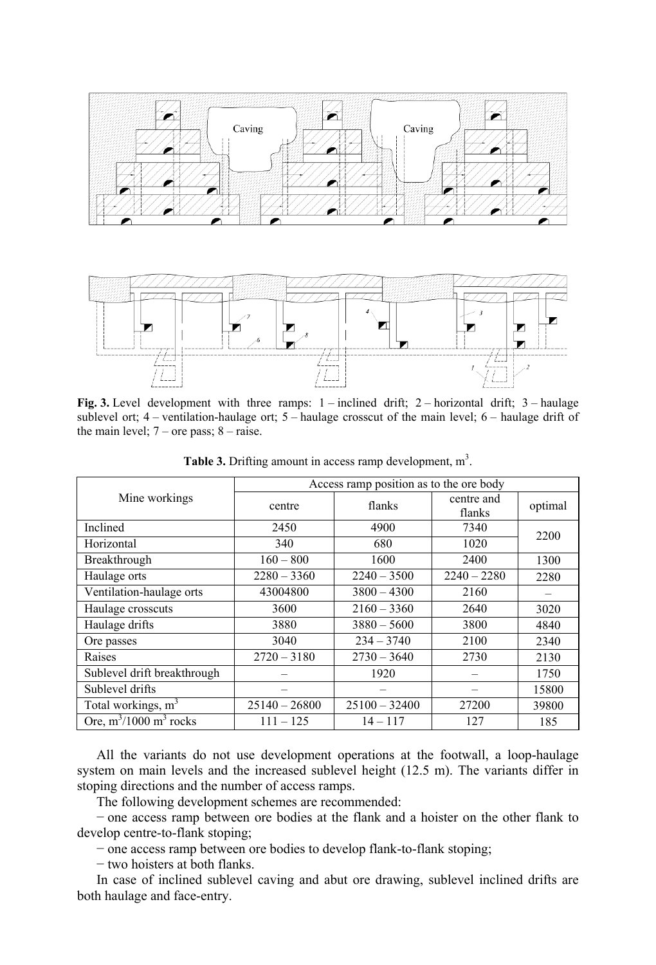

Fig. 3. Level development with three ramps: 1 – inclined drift; 2 – horizontal drift; 3 – haulage sublevel ort; 4 – ventilation-haulage ort; 5 – haulage crosscut of the main level; 6 – haulage drift of the main level;  $7$  – ore pass;  $8$  – raise.

|                                | Access ramp position as to the ore body |                          |                      |         |  |  |  |
|--------------------------------|-----------------------------------------|--------------------------|----------------------|---------|--|--|--|
| Mine workings                  | centre                                  | flanks                   | centre and<br>flanks | optimal |  |  |  |
| Inclined                       | 2450                                    | 4900                     | 7340                 | 2200    |  |  |  |
| Horizontal                     | 340                                     | 680                      | 1020                 |         |  |  |  |
| Breakthrough                   | $160 - 800$                             | 1600                     | 2400                 | 1300    |  |  |  |
| Haulage orts                   | $2280 - 3360$                           | $2240 - 3500$            | $2240 - 2280$        | 2280    |  |  |  |
| Ventilation-haulage orts       | 43004800                                | $3800 - 4300$            | 2160                 |         |  |  |  |
| Haulage crosscuts              | 3600                                    | $2160 - 3360$            | 2640                 | 3020    |  |  |  |
| Haulage drifts                 | 3880                                    | $3880 - 5600$            | 3800                 | 4840    |  |  |  |
| Ore passes                     | 3040                                    | $234 - 3740$             | 2100                 | 2340    |  |  |  |
| Raises                         | $2720 - 3180$                           | $2730 - 3640$            | 2730                 | 2130    |  |  |  |
| Sublevel drift breakthrough    |                                         | 1920                     |                      | 1750    |  |  |  |
| Sublevel drifts                |                                         |                          |                      | 15800   |  |  |  |
| Total workings, m <sup>3</sup> | $25140 - 26800$                         | $25100 - 32400$<br>27200 |                      | 39800   |  |  |  |
| Ore, $m^3/1000$ $m^3$ rocks    | $111 - 125$                             | $14 - 117$               | 127                  | 185     |  |  |  |

**Table 3.** Drifting amount in access ramp development,  $m<sup>3</sup>$ .

All the variants do not use development operations at the footwall, a loop-haulage system on main levels and the increased sublevel height (12.5 m). The variants differ in stoping directions and the number of access ramps.

The following development schemes are recommended:

− one access ramp between ore bodies at the flank and a hoister on the other flank to develop centre-to-flank stoping;

− one access ramp between ore bodies to develop flank-to-flank stoping;

− two hoisters at both flanks.

In case of inclined sublevel caving and abut ore drawing, sublevel inclined drifts are both haulage and face-entry.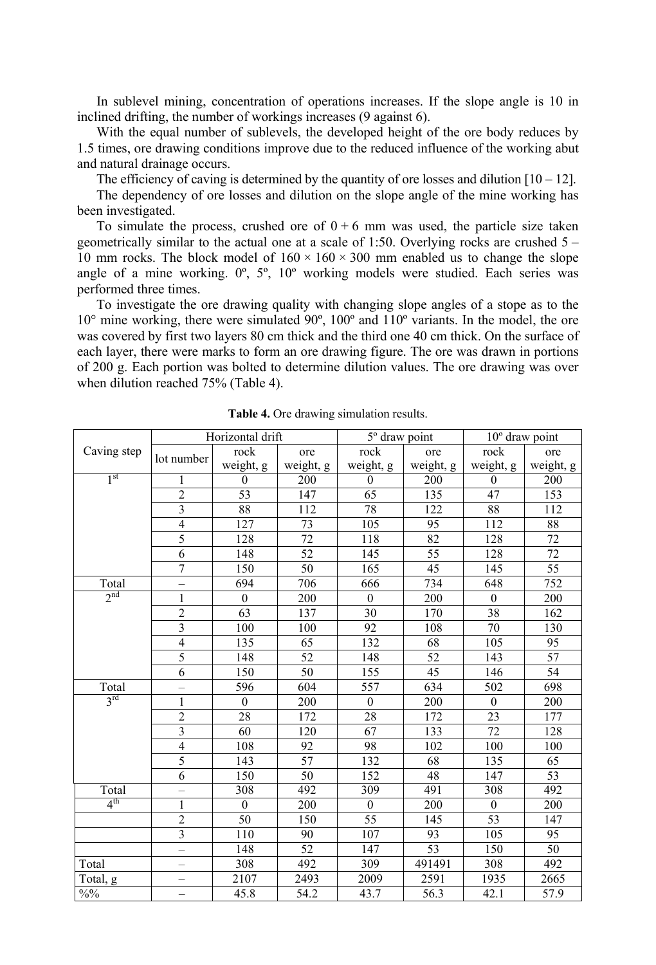In sublevel mining, concentration of operations increases. If the slope angle is 10 in inclined drifting, the number of workings increases (9 against 6).

With the equal number of sublevels, the developed height of the ore body reduces by 1.5 times, ore drawing conditions improve due to the reduced influence of the working abut and natural drainage occurs.

The efficiency of caving is determined by the quantity of ore losses and dilution  $[10 - 12]$ .

The dependency of ore losses and dilution on the slope angle of the mine working has been investigated.

To simulate the process, crushed ore of  $0 + 6$  mm was used, the particle size taken geometrically similar to the actual one at a scale of 1:50. Overlying rocks are crushed  $5 -$ 10 mm rocks. The block model of  $160 \times 160 \times 300$  mm enabled us to change the slope angle of a mine working. 0º, 5º, 10º working models were studied. Each series was performed three times.

To investigate the ore drawing quality with changing slope angles of a stope as to the 10° mine working, there were simulated 90º, 100º and 110º variants. In the model, the ore was covered by first two layers 80 cm thick and the third one 40 cm thick. On the surface of each layer, there were marks to form an ore drawing figure. The ore was drawn in portions of 200 g. Each portion was bolted to determine dilution values. The ore drawing was over when dilution reached 75% (Table 4).

|                 | Horizontal drift         |                  | 5° draw point |                  | $10^{\circ}$ draw point |              |           |
|-----------------|--------------------------|------------------|---------------|------------------|-------------------------|--------------|-----------|
| Caving step     | lot number               | rock             | ore           | rock             | ore                     | rock         | ore       |
|                 |                          | weight, g        | weight, g     | weight, g        | weight, g               | weight, g    | weight, g |
| 1 <sup>st</sup> | 1                        | $\mathbf{0}$     | 200           | $\mathbf{0}$     | 200                     | $\mathbf{0}$ | 200       |
|                 | $\overline{2}$           | 53               | 147           | 65               | 135                     | 47           | 153       |
|                 | $\overline{\mathbf{3}}$  | 88               | 112           | 78               | 122                     | 88           | 112       |
|                 | $\overline{4}$           | 127              | 73            | 105              | 95                      | 112          | 88        |
|                 | 5                        | 128              | 72            | 118              | 82                      | 128          | 72        |
|                 | 6                        | 148              | 52            | 145              | 55                      | 128          | 72        |
|                 | $\overline{7}$           | 150              | 50            | 165              | 45                      | 145          | 55        |
| Total           |                          | 694              | 706           | 666              | 734                     | 648          | 752       |
| 2 <sup>nd</sup> | $\mathbf{1}$             | $\boldsymbol{0}$ | 200           | $\boldsymbol{0}$ | 200                     | $\mathbf{0}$ | 200       |
|                 | $\overline{c}$           | 63               | 137           | 30               | 170                     | 38           | 162       |
|                 | 3                        | 100              | 100           | 92               | 108                     | 70           | 130       |
|                 | $\overline{4}$           | 135              | 65            | 132              | 68                      | 105          | 95        |
|                 | 5                        | 148              | 52            | 148              | 52                      | 143          | 57        |
|                 | $\overline{6}$           | 150              | 50            | 155              | 45                      | 146          | 54        |
| Total           |                          | 596              | 604           | $\overline{557}$ | 634                     | 502          | 698       |
| 3 <sup>rd</sup> | 1                        | $\mathbf{0}$     | 200           | $\theta$         | 200                     | $\mathbf{0}$ | 200       |
|                 | $\overline{2}$           | 28               | 172           | 28               | 172                     | 23           | 177       |
|                 | $\overline{3}$           | 60               | 120           | 67               | 133                     | 72           | 128       |
|                 | $\overline{\mathbf{4}}$  | 108              | 92            | 98               | 102                     | 100          | 100       |
|                 | 5                        | 143              | 57            | 132              | 68                      | 135          | 65        |
|                 | 6                        | 150              | 50            | 152              | 48                      | 147          | 53        |
| Total           | $\overline{\phantom{0}}$ | 308              | 492           | 309              | 491                     | 308          | 492       |
| $4^{\text{th}}$ | 1                        | $\mathbf{0}$     | 200           | $\theta$         | 200                     | $\mathbf{0}$ | 200       |
|                 | $\overline{2}$           | 50               | 150           | 55               | 145                     | 53           | 147       |
|                 | $\overline{\mathbf{3}}$  | 110              | 90            | 107              | 93                      | 105          | 95        |
|                 | $\equiv$                 | 148              | 52            | 147              | 53                      | 150          | 50        |
| Total           |                          | 308              | 492           | 309              | 491491                  | 308          | 492       |
| Total, g        |                          | 2107             | 2493          | 2009             | 2591                    | 1935         | 2665      |
| $\frac{9}{0}$   | -                        | 45.8             | 54.2          | 43.7             | 56.3                    | 42.1         | 57.9      |

**Table 4.** Ore drawing simulation results.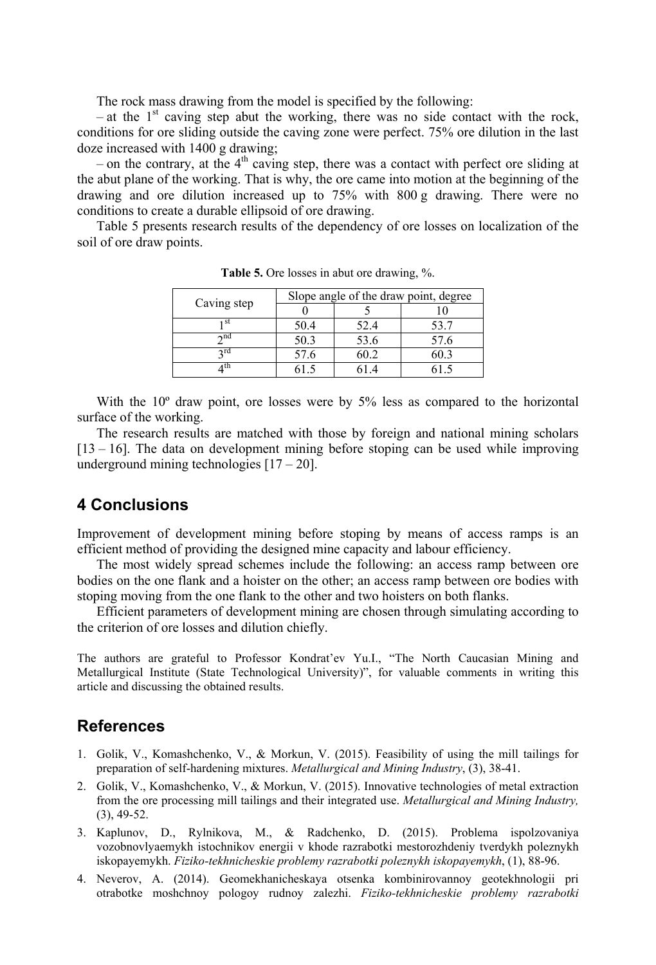The rock mass drawing from the model is specified by the following:

– at the  $1<sup>st</sup>$  caving step abut the working, there was no side contact with the rock, conditions for ore sliding outside the caving zone were perfect. 75% ore dilution in the last doze increased with 1400 g drawing;

– on the contrary, at the  $4<sup>th</sup>$  caving step, there was a contact with perfect ore sliding at the abut plane of the working. That is why, the ore came into motion at the beginning of the drawing and ore dilution increased up to 75% with 800 g drawing. There were no conditions to create a durable ellipsoid of ore drawing.

Table 5 presents research results of the dependency of ore losses on localization of the soil of ore draw points.

|             | Slope angle of the draw point, degree |      |      |  |  |
|-------------|---------------------------------------|------|------|--|--|
| Caving step |                                       |      |      |  |  |
| ı st        | 50.4                                  | 52.4 | 53.7 |  |  |
| $\sim$ nd   | 50.3                                  | 53.6 | 57.6 |  |  |
| ∍rd         | 57.6                                  | 50.2 | 50.3 |  |  |
| 4 th        |                                       |      |      |  |  |

**Table 5.** Ore losses in abut ore drawing, %.

With the 10<sup>°</sup> draw point, ore losses were by 5% less as compared to the horizontal surface of the working.

The research results are matched with those by foreign and national mining scholars [13 – 16]. The data on development mining before stoping can be used while improving underground mining technologies  $[17 - 20]$ .

# **4 Conclusions**

Improvement of development mining before stoping by means of access ramps is an efficient method of providing the designed mine capacity and labour efficiency.

The most widely spread schemes include the following: an access ramp between ore bodies on the one flank and a hoister on the other; an access ramp between ore bodies with stoping moving from the one flank to the other and two hoisters on both flanks.

Efficient parameters of development mining are chosen through simulating according to the criterion of ore losses and dilution chiefly.

The authors are grateful to Professor Kondrat'ev Yu.I., "The North Caucasian Mining and Metallurgical Institute (State Technological University)", for valuable comments in writing this article and discussing the obtained results.

# **References**

- 1. Golik, V., Komashchenko, V., & Morkun, V. (2015). Feasibility of using the mill tailings for preparation of self-hardening mixtures. *Metallurgical and Mining Industry*, (3), 38-41.
- 2. Golik, V., Komashchenko, V., & Morkun, V. (2015). Innovative technologies of metal extraction from the ore processing mill tailings and their integrated use. *Metallurgical and Mining Industry,*  (3), 49-52.
- 3. Kaplunov, D., Rylnikova, M., & Radchenko, D. (2015). Problema ispolzovaniya vozobnovlyaemykh istochnikov energii v khode razrabotki mestorozhdeniy tverdykh poleznykh iskopayemykh. *Fiziko-tekhnicheskie problemy razrabotki poleznykh iskopayemykh*, (1), 88-96.
- 4. Neverov, A. (2014). Geomekhanicheskaya otsenka kombinirovannoy geotekhnologii pri otrabotke moshchnoy pologoy rudnoy zalezhi. *Fiziko-tekhnicheskie problemy razrabotki*